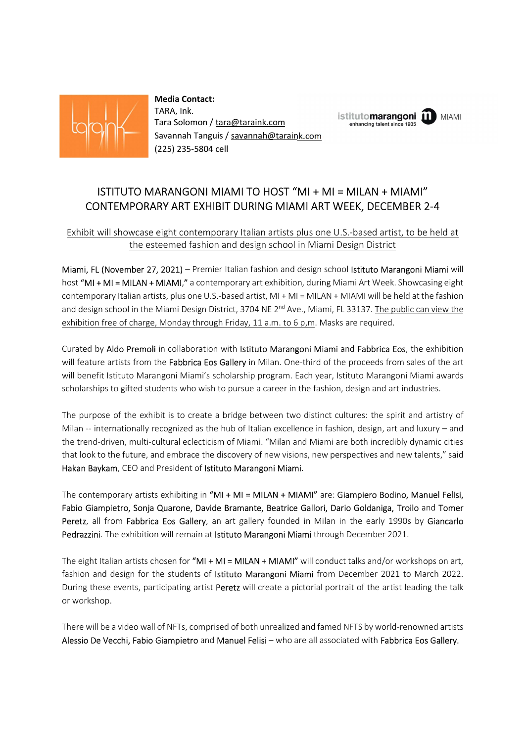

 Media Contact: TARA, Ink. Tariva, iiii.<br>Tara Solomon / tara@taraink.com entends the enhancing talent since 1935 Savannah Tanguis / savannah@taraink.com (225) 235-5804 cell

# ISTITUTO MARANGONI MIAMI TO HOST "MI + MI = MILAN + MIAMI" CONTEMPORARY ART EXHIBIT DURING MIAMI ART WEEK, DECEMBER 2-4

**MIAMI** 

### Exhibit will showcase eight contemporary Italian artists plus one U.S.-based artist, to be held at the esteemed fashion and design school in Miami Design District

Miami, FL (November 27, 2021) – Premier Italian fashion and design school Istituto Marangoni Miami will host "MI + MI = MILAN + MIAMI," a contemporary art exhibition, during Miami Art Week. Showcasing eight contemporary Italian artists, plus one U.S.-based artist, MI + MI = MILAN + MIAMI will be held at the fashion and design school in the Miami Design District, 3704 NE  $2<sup>nd</sup>$  Ave., Miami, FL 33137. The public can view the exhibition free of charge, Monday through Friday, 11 a.m. to 6 p,m. Masks are required.

Curated by Aldo Premoli in collaboration with Istituto Marangoni Miami and Fabbrica Eos, the exhibition will feature artists from the Fabbrica Eos Gallery in Milan. One-third of the proceeds from sales of the art will benefit Istituto Marangoni Miami's scholarship program. Each year, Istituto Marangoni Miami awards scholarships to gifted students who wish to pursue a career in the fashion, design and art industries.

The purpose of the exhibit is to create a bridge between two distinct cultures: the spirit and artistry of Milan -- internationally recognized as the hub of Italian excellence in fashion, design, art and luxury – and the trend-driven, multi-cultural eclecticism of Miami. "Milan and Miami are both incredibly dynamic cities that look to the future, and embrace the discovery of new visions, new perspectives and new talents," said Hakan Baykam, CEO and President of Istituto Marangoni Miami.<br>The contemporary artists exhibiting in "MI + MI = MILAN + MIAMI" are: Giampiero Bodino, Manuel Felisi,

Fabio Giampietro, Sonja Quarone, Davide Bramante, Beatrice Gallori, Dario Goldaniga, Troilo and Tomer Peretz, all from Fabbrica Eos Gallery, an art gallery founded in Milan in the early 1990s by Giancarlo Pedrazzini. The exhibition will remain at Istituto Marangoni Miami through December 2021.

The eight Italian artists chosen for "MI + MI = MILAN + MIAMI" will conduct talks and/or workshops on art, fashion and design for the students of Istituto Marangoni Miami from December 2021 to March 2022. During these events, participating artist Peretz will create a pictorial portrait of the artist leading the talk or workshop.

There will be a video wall of NFTs, comprised of both unrealized and famed NFTS by world-renowned artists Alessio De Vecchi, Fabio Giampietro and Manuel Felisi – who are all associated with Fabbrica Eos Gallery.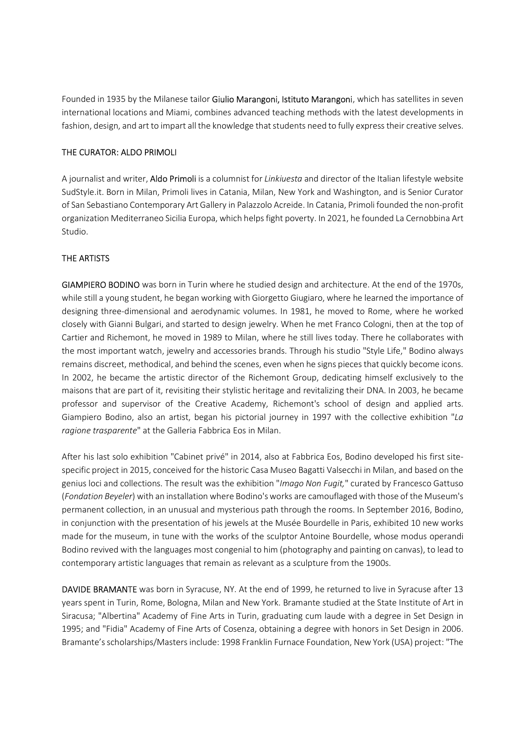Founded in 1935 by the Milanese tailor Giulio Marangoni, Istituto Marangoni, which has satellites in seven international locations and Miami, combines advanced teaching methods with the latest developments in fashion, design, and art to impart all the knowledge that students need to fully express their creative selves.

### THE CURATOR: ALDO PRIMOLI

A journalist and writer, Aldo Primoli is a columnist for Linkiuesta and director of the Italian lifestyle website SudStyle.it. Born in Milan, Primoli lives in Catania, Milan, New York and Washington, and is Senior Curator of San Sebastiano Contemporary Art Gallery in Palazzolo Acreide. In Catania, Primoli founded the non-profit organization Mediterraneo Sicilia Europa, which helps fight poverty. In 2021, he founded La Cernobbina Art Studio.

## THE ARTISTS

GIAMPIERO BODINO was born in Turin where he studied design and architecture. At the end of the 1970s, while still a young student, he began working with Giorgetto Giugiaro, where he learned the importance of designing three-dimensional and aerodynamic volumes. In 1981, he moved to Rome, where he worked closely with Gianni Bulgari, and started to design jewelry. When he met Franco Cologni, then at the top of Cartier and Richemont, he moved in 1989 to Milan, where he still lives today. There he collaborates with the most important watch, jewelry and accessories brands. Through his studio "Style Life," Bodino always remains discreet, methodical, and behind the scenes, even when he signs pieces that quickly become icons. In 2002, he became the artistic director of the Richemont Group, dedicating himself exclusively to the maisons that are part of it, revisiting their stylistic heritage and revitalizing their DNA. In 2003, he became professor and supervisor of the Creative Academy, Richemont's school of design and applied arts. Giampiero Bodino, also an artist, began his pictorial journey in 1997 with the collective exhibition "La ragione trasparente" at the Galleria Fabbrica Eos in Milan.

After his last solo exhibition "Cabinet privé" in 2014, also at Fabbrica Eos, Bodino developed his first sitespecific project in 2015, conceived for the historic Casa Museo Bagatti Valsecchi in Milan, and based on the genius loci and collections. The result was the exhibition "Imago Non Fugit," curated by Francesco Gattuso (Fondation Beyeler) with an installation where Bodino's works are camouflaged with those of the Museum's permanent collection, in an unusual and mysterious path through the rooms. In September 2016, Bodino, in conjunction with the presentation of his jewels at the Musée Bourdelle in Paris, exhibited 10 new works made for the museum, in tune with the works of the sculptor Antoine Bourdelle, whose modus operandi Bodino revived with the languages most congenial to him (photography and painting on canvas), to lead to contemporary artistic languages that remain as relevant as a sculpture from the 1900s.

DAVIDE BRAMANTE was born in Syracuse, NY. At the end of 1999, he returned to live in Syracuse after 13 years spent in Turin, Rome, Bologna, Milan and New York. Bramante studied at the State Institute of Art in Siracusa; "Albertina" Academy of Fine Arts in Turin, graduating cum laude with a degree in Set Design in 1995; and "Fidia" Academy of Fine Arts of Cosenza, obtaining a degree with honors in Set Design in 2006. Bramante's scholarships/Masters include: 1998 Franklin Furnace Foundation, New York (USA) project: "The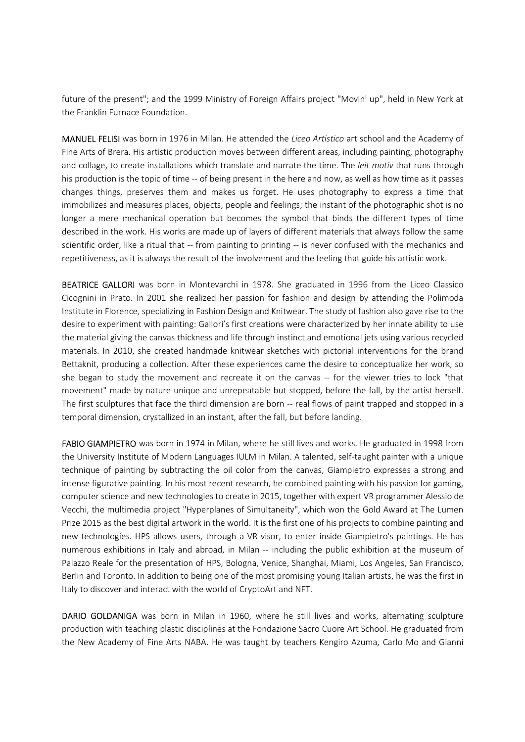future of the present"; and the 1999 Ministry of Foreign Affairs project "Movin' up", held in New York at the Franklin Furnace Foundation.

MANUEL FELISI was born in 1976 in Milan. He attended the Liceo Artistico art school and the Academy of Fine Arts of Brera. His artistic production moves between different areas, including painting, photography and collage, to create installations which translate and narrate the time. The leit motiv that runs through his production is the topic of time -- of being present in the here and now, as well as how time as it passes changes things, preserves them and makes us forget. He uses photography to express a time that immobilizes and measures places, objects, people and feelings; the instant of the photographic shot is no longer a mere mechanical operation but becomes the symbol that binds the different types of time described in the work. His works are made up of layers of different materials that always follow the same scientific order, like a ritual that -- from painting to printing -- is never confused with the mechanics and repetitiveness, as it is always the result of the involvement and the feeling that guide his artistic work.

BEATRICE GALLORI was born in Montevarchi in 1978. She graduated in 1996 from the Liceo Classico Cicognini in Prato. In 2001 she realized her passion for fashion and design by attending the Polimoda Institute in Florence, specializing in Fashion Design and Knitwear. The study of fashion also gave rise to the desire to experiment with painting: Gallori's first creations were characterized by her innate ability to use the material giving the canvas thickness and life through instinct and emotional jets using various recycled materials. In 2010, she created handmade knitwear sketches with pictorial interventions for the brand Bettaknit, producing a collection. After these experiences came the desire to conceptualize her work, so she began to study the movement and recreate it on the canvas -- for the viewer tries to lock "that movement" made by nature unique and unrepeatable but stopped, before the fall, by the artist herself. The first sculptures that face the third dimension are born -- real flows of paint trapped and stopped in a temporal dimension, crystallized in an instant, after the fall, but before landing.

FABIO GIAMPIETRO was born in 1974 in Milan, where he still lives and works. He graduated in 1998 from the University Institute of Modern Languages IULM in Milan. A talented, self-taught painter with a unique technique of painting by subtracting the oil color from the canvas, Giampietro expresses a strong and intense figurative painting. In his most recent research, he combined painting with his passion for gaming, computer science and new technologies to create in 2015, together with expert VR programmer Alessio de Vecchi, the multimedia project "Hyperplanes of Simultaneity", which won the Gold Award at The Lumen Prize 2015 as the best digital artwork in the world. It is the first one of his projects to combine painting and new technologies. HPS allows users, through a VR visor, to enter inside Giampietro's paintings. He has numerous exhibitions in Italy and abroad, in Milan -- including the public exhibition at the museum of Palazzo Reale for the presentation of HPS, Bologna, Venice, Shanghai, Miami, Los Angeles, San Francisco, Berlin and Toronto. In addition to being one of the most promising young Italian artists, he was the first in Italy to discover and interact with the world of CryptoArt and NFT.

DARIO GOLDANIGA was born in Milan in 1960, where he still lives and works, alternating sculpture production with teaching plastic disciplines at the Fondazione Sacro Cuore Art School. He graduated from the New Academy of Fine Arts NABA. He was taught by teachers Kengiro Azuma, Carlo Mo and Gianni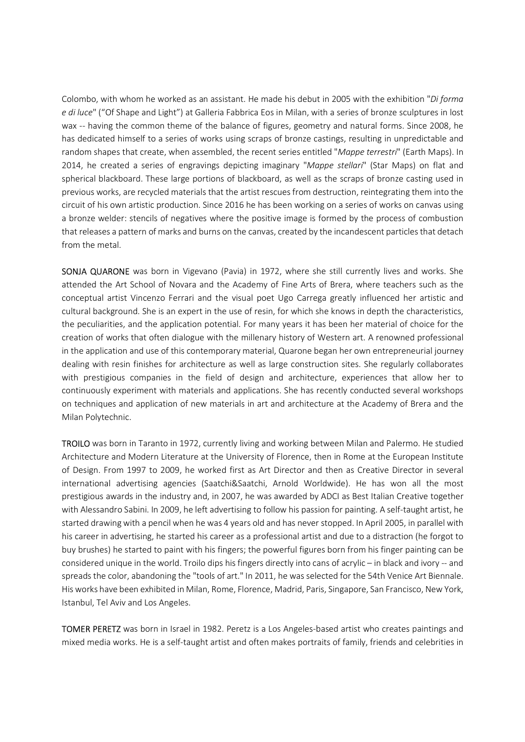Colombo, with whom he worked as an assistant. He made his debut in 2005 with the exhibition "Di forma e di luce" ("Of Shape and Light") at Galleria Fabbrica Eos in Milan, with a series of bronze sculptures in lost wax -- having the common theme of the balance of figures, geometry and natural forms. Since 2008, he has dedicated himself to a series of works using scraps of bronze castings, resulting in unpredictable and random shapes that create, when assembled, the recent series entitled "Mappe terrestri" (Earth Maps). In 2014, he created a series of engravings depicting imaginary "Mappe stellari" (Star Maps) on flat and spherical blackboard. These large portions of blackboard, as well as the scraps of bronze casting used in previous works, are recycled materials that the artist rescues from destruction, reintegrating them into the circuit of his own artistic production. Since 2016 he has been working on a series of works on canvas using a bronze welder: stencils of negatives where the positive image is formed by the process of combustion that releases a pattern of marks and burns on the canvas, created by the incandescent particles that detach from the metal.

SONJA QUARONE was born in Vigevano (Pavia) in 1972, where she still currently lives and works. She attended the Art School of Novara and the Academy of Fine Arts of Brera, where teachers such as the conceptual artist Vincenzo Ferrari and the visual poet Ugo Carrega greatly influenced her artistic and cultural background. She is an expert in the use of resin, for which she knows in depth the characteristics, the peculiarities, and the application potential. For many years it has been her material of choice for the creation of works that often dialogue with the millenary history of Western art. A renowned professional in the application and use of this contemporary material, Quarone began her own entrepreneurial journey dealing with resin finishes for architecture as well as large construction sites. She regularly collaborates with prestigious companies in the field of design and architecture, experiences that allow her to continuously experiment with materials and applications. She has recently conducted several workshops on techniques and application of new materials in art and architecture at the Academy of Brera and the Milan Polytechnic.

TROILO was born in Taranto in 1972, currently living and working between Milan and Palermo. He studied Architecture and Modern Literature at the University of Florence, then in Rome at the European Institute of Design. From 1997 to 2009, he worked first as Art Director and then as Creative Director in several international advertising agencies (Saatchi&Saatchi, Arnold Worldwide). He has won all the most prestigious awards in the industry and, in 2007, he was awarded by ADCI as Best Italian Creative together with Alessandro Sabini. In 2009, he left advertising to follow his passion for painting. A self-taught artist, he started drawing with a pencil when he was 4 years old and has never stopped. In April 2005, in parallel with his career in advertising, he started his career as a professional artist and due to a distraction (he forgot to buy brushes) he started to paint with his fingers; the powerful figures born from his finger painting can be considered unique in the world. Troilo dips his fingers directly into cans of acrylic – in black and ivory -- and spreads the color, abandoning the "tools of art." In 2011, he was selected for the 54th Venice Art Biennale. His works have been exhibited in Milan, Rome, Florence, Madrid, Paris, Singapore, San Francisco, New York, Istanbul, Tel Aviv and Los Angeles.

TOMER PERETZ was born in Israel in 1982. Peretz is a Los Angeles-based artist who creates paintings and mixed media works. He is a self-taught artist and often makes portraits of family, friends and celebrities in